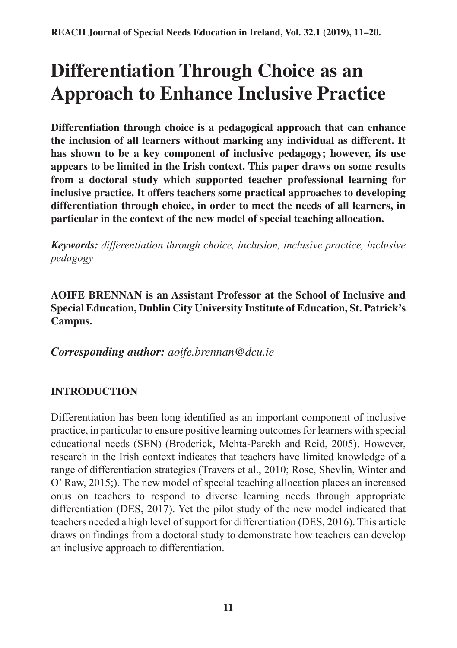# **Differentiation Through Choice as an Approach to Enhance Inclusive Practice**

**Differentiation through choice is a pedagogical approach that can enhance the inclusion of all learners without marking any individual as different. It has shown to be a key component of inclusive pedagogy; however, its use appears to be limited in the Irish context. This paper draws on some results from a doctoral study which supported teacher professional learning for inclusive practice. It offers teachers some practical approaches to developing differentiation through choice, in order to meet the needs of all learners, in particular in the context of the new model of special teaching allocation.**

*Keywords: differentiation through choice, inclusion, inclusive practice, inclusive pedagogy*

**AOIFE BRENNAN is an Assistant Professor at the School of Inclusive and Special Education, Dublin City University Institute of Education, St. Patrick's Campus.**

*Corresponding author: aoife.brennan@dcu.ie*

# **INTRODUCTION**

Differentiation has been long identified as an important component of inclusive practice, in particular to ensure positive learning outcomes for learners with special educational needs (SEN) (Broderick, Mehta-Parekh and Reid, 2005). However, research in the Irish context indicates that teachers have limited knowledge of a range of differentiation strategies (Travers et al., 2010; Rose, Shevlin, Winter and O' Raw, 2015;). The new model of special teaching allocation places an increased onus on teachers to respond to diverse learning needs through appropriate differentiation (DES, 2017). Yet the pilot study of the new model indicated that teachers needed a high level of support for differentiation (DES, 2016). This article draws on findings from a doctoral study to demonstrate how teachers can develop an inclusive approach to differentiation.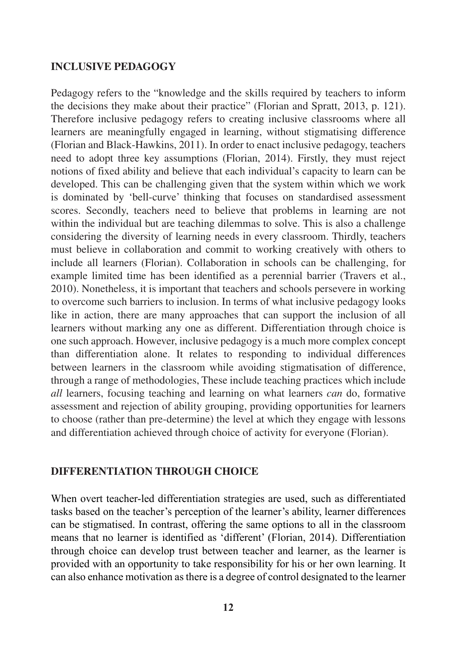#### **INCLUSIVE PEDAGOGY**

Pedagogy refers to the "knowledge and the skills required by teachers to inform the decisions they make about their practice" (Florian and Spratt, 2013, p. 121). Therefore inclusive pedagogy refers to creating inclusive classrooms where all learners are meaningfully engaged in learning, without stigmatising difference (Florian and Black-Hawkins, 2011). In order to enact inclusive pedagogy, teachers need to adopt three key assumptions (Florian, 2014). Firstly, they must reject notions of fixed ability and believe that each individual's capacity to learn can be developed. This can be challenging given that the system within which we work is dominated by 'bell-curve' thinking that focuses on standardised assessment scores. Secondly, teachers need to believe that problems in learning are not within the individual but are teaching dilemmas to solve. This is also a challenge considering the diversity of learning needs in every classroom. Thirdly, teachers must believe in collaboration and commit to working creatively with others to include all learners (Florian). Collaboration in schools can be challenging, for example limited time has been identified as a perennial barrier (Travers et al., 2010). Nonetheless, it is important that teachers and schools persevere in working to overcome such barriers to inclusion. In terms of what inclusive pedagogy looks like in action, there are many approaches that can support the inclusion of all learners without marking any one as different. Differentiation through choice is one such approach. However, inclusive pedagogy is a much more complex concept than differentiation alone. It relates to responding to individual differences between learners in the classroom while avoiding stigmatisation of difference, through a range of methodologies, These include teaching practices which include *all* learners, focusing teaching and learning on what learners *can* do, formative assessment and rejection of ability grouping, providing opportunities for learners to choose (rather than pre-determine) the level at which they engage with lessons and differentiation achieved through choice of activity for everyone (Florian).

#### **DIFFERENTIATION THROUGH CHOICE**

When overt teacher-led differentiation strategies are used, such as differentiated tasks based on the teacher's perception of the learner's ability, learner differences can be stigmatised. In contrast, offering the same options to all in the classroom means that no learner is identified as 'different' (Florian, 2014). Differentiation through choice can develop trust between teacher and learner, as the learner is provided with an opportunity to take responsibility for his or her own learning. It can also enhance motivation as there is a degree of control designated to the learner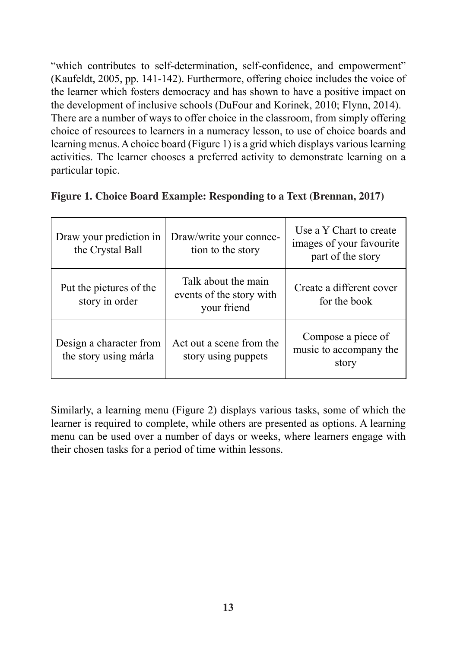"which contributes to self-determination, self-confidence, and empowerment" (Kaufeldt, 2005, pp. 141-142). Furthermore, offering choice includes the voice of the learner which fosters democracy and has shown to have a positive impact on the development of inclusive schools (DuFour and Korinek, 2010; Flynn, 2014). There are a number of ways to offer choice in the classroom, from simply offering choice of resources to learners in a numeracy lesson, to use of choice boards and learning menus. A choice board (Figure 1) is a grid which displays various learning activities. The learner chooses a preferred activity to demonstrate learning on a particular topic.

| Draw your prediction in<br>the Crystal Ball      | Draw/write your connec-<br>tion to the story                   | Use a Y Chart to create<br>images of your favourite<br>part of the story |
|--------------------------------------------------|----------------------------------------------------------------|--------------------------------------------------------------------------|
| Put the pictures of the<br>story in order        | Talk about the main<br>events of the story with<br>your friend | Create a different cover<br>for the book                                 |
| Design a character from<br>the story using márla | Act out a scene from the<br>story using puppets                | Compose a piece of<br>music to accompany the<br>story                    |

|  |  |  | Figure 1. Choice Board Example: Responding to a Text (Brennan, 2017) |  |
|--|--|--|----------------------------------------------------------------------|--|
|  |  |  |                                                                      |  |

Similarly, a learning menu (Figure 2) displays various tasks, some of which the learner is required to complete, while others are presented as options. A learning menu can be used over a number of days or weeks, where learners engage with their chosen tasks for a period of time within lessons.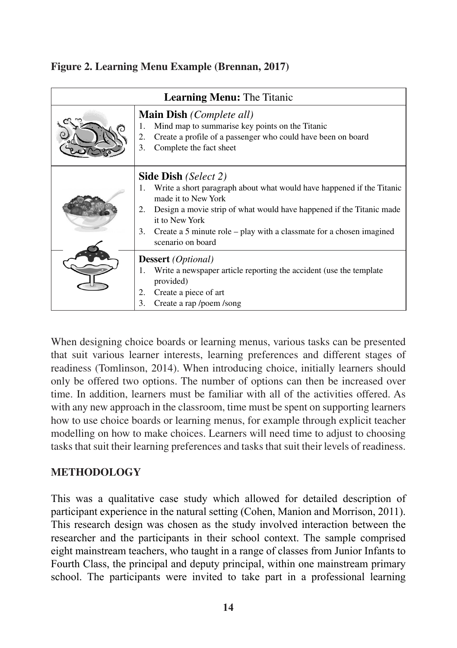|  |  |  |  |  | Figure 2. Learning Menu Example (Brennan, 2017) |  |
|--|--|--|--|--|-------------------------------------------------|--|
|--|--|--|--|--|-------------------------------------------------|--|

| Learning Menu: The Titanic |                                                                                                                                                                                                                                                                                                                            |  |
|----------------------------|----------------------------------------------------------------------------------------------------------------------------------------------------------------------------------------------------------------------------------------------------------------------------------------------------------------------------|--|
|                            | Main Dish (Complete all)<br>Mind map to summarise key points on the Titanic<br>1.<br>Create a profile of a passenger who could have been on board<br>2.<br>3.<br>Complete the fact sheet                                                                                                                                   |  |
|                            | Side Dish (Select 2)<br>1. Write a short paragraph about what would have happened if the Titanic<br>made it to New York<br>Design a movie strip of what would have happened if the Titanic made<br>2.<br>it to New York<br>Create a 5 minute role – play with a classmate for a chosen imagined<br>3.<br>scenario on board |  |
|                            | <b>Dessert</b> ( <i>Optional</i> )<br>Write a newspaper article reporting the accident (use the template<br>1.<br>provided)<br>Create a piece of art<br>2.<br>3.<br>Create a rap /poem /song                                                                                                                               |  |

When designing choice boards or learning menus, various tasks can be presented that suit various learner interests, learning preferences and different stages of readiness (Tomlinson, 2014). When introducing choice, initially learners should only be offered two options. The number of options can then be increased over time. In addition, learners must be familiar with all of the activities offered. As with any new approach in the classroom, time must be spent on supporting learners how to use choice boards or learning menus, for example through explicit teacher modelling on how to make choices. Learners will need time to adjust to choosing tasks that suit their learning preferences and tasks that suit their levels of readiness.

## **METHODOLOGY**

This was a qualitative case study which allowed for detailed description of participant experience in the natural setting (Cohen, Manion and Morrison, 2011). This research design was chosen as the study involved interaction between the researcher and the participants in their school context. The sample comprised eight mainstream teachers, who taught in a range of classes from Junior Infants to Fourth Class, the principal and deputy principal, within one mainstream primary school. The participants were invited to take part in a professional learning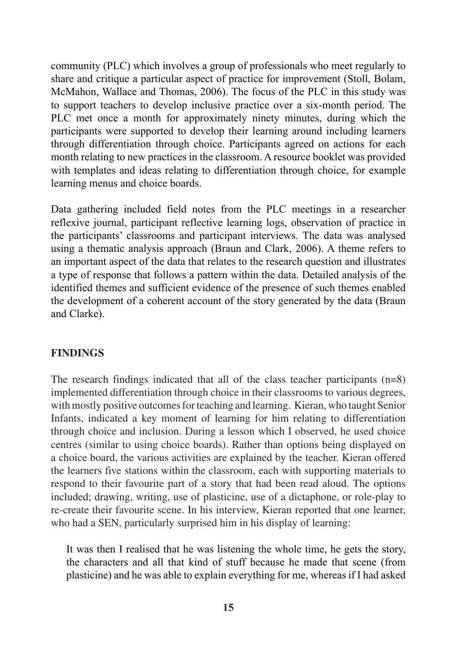community (PLC) which involves a group of professionals who meet regularly to share and critique a particular aspect of practice for improvement (Stoll, Bolam, McMahon, Wallace and Thomas, 2006). The focus of the PLC in this study was to support teachers to develop inclusive practice over a six-month period. The PLC met once a month for approximately ninety minutes, during which the participants were supported to develop their learning around including learners through differentiation through choice. Participants agreed on actions for each month relating to new practices in the classroom. A resource booklet was provided with templates and ideas relating to differentiation through choice, for example learning menus and choice boards.

Data gathering included field notes from the PLC meetings in a researcher reflexive journal, participant reflective learning logs, observation of practice in the participants' classrooms and participant interviews. The data was analysed using a thematic analysis approach (Braun and Clark, 2006). A theme refers to an important aspect of the data that relates to the research question and illustrates a type of response that follows a pattern within the data. Detailed analysis of the identified themes and sufficient evidence of the presence of such themes enabled the development of a coherent account of the story generated by the data (Braun and Clarke).

#### **FINDINGS**

The research findings indicated that all of the class teacher participants (n=8) implemented differentiation through choice in their classrooms to various degrees, with mostly positive outcomes for teaching and learning. Kieran, who taught Senior Infants, indicated a key moment of learning for him relating to differentiation through choice and inclusion. During a lesson which I observed, he used choice centres (similar to using choice boards). Rather than options being displayed on a choice board, the various activities are explained by the teacher. Kieran offered the learners five stations within the classroom, each with supporting materials to respond to their favourite part of a story that had been read aloud. The options included; drawing, writing, use of plasticine, use of a dictaphone, or role-play to re-create their favourite scene. In his interview, Kieran reported that one learner, who had a SEN, particularly surprised him in his display of learning:

It was then I realised that he was listening the whole time, he gets the story, the characters and all that kind of stuff because he made that scene (from plasticine) and he was able to explain everything for me, whereas if I had asked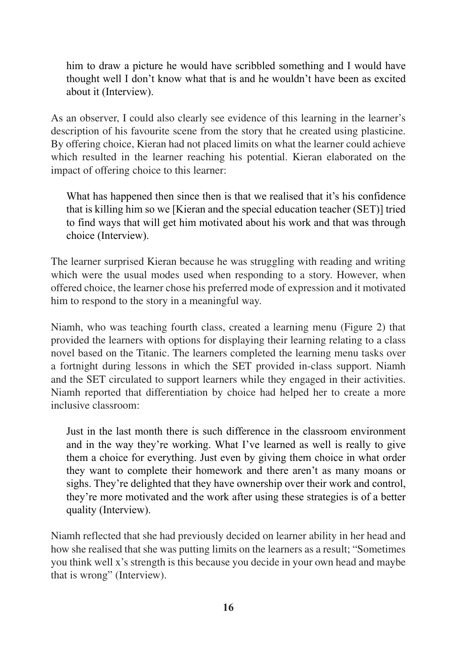him to draw a picture he would have scribbled something and I would have thought well I don't know what that is and he wouldn't have been as excited about it (Interview).

As an observer, I could also clearly see evidence of this learning in the learner's description of his favourite scene from the story that he created using plasticine. By offering choice, Kieran had not placed limits on what the learner could achieve which resulted in the learner reaching his potential. Kieran elaborated on the impact of offering choice to this learner:

What has happened then since then is that we realised that it's his confidence that is killing him so we [Kieran and the special education teacher (SET)] tried to find ways that will get him motivated about his work and that was through choice (Interview).

The learner surprised Kieran because he was struggling with reading and writing which were the usual modes used when responding to a story. However, when offered choice, the learner chose his preferred mode of expression and it motivated him to respond to the story in a meaningful way.

Niamh, who was teaching fourth class, created a learning menu (Figure 2) that provided the learners with options for displaying their learning relating to a class novel based on the Titanic. The learners completed the learning menu tasks over a fortnight during lessons in which the SET provided in-class support. Niamh and the SET circulated to support learners while they engaged in their activities. Niamh reported that differentiation by choice had helped her to create a more inclusive classroom:

Just in the last month there is such difference in the classroom environment and in the way they're working. What I've learned as well is really to give them a choice for everything. Just even by giving them choice in what order they want to complete their homework and there aren't as many moans or sighs. They're delighted that they have ownership over their work and control, they're more motivated and the work after using these strategies is of a better quality (Interview).

Niamh reflected that she had previously decided on learner ability in her head and how she realised that she was putting limits on the learners as a result; "Sometimes you think well x's strength is this because you decide in your own head and maybe that is wrong" (Interview).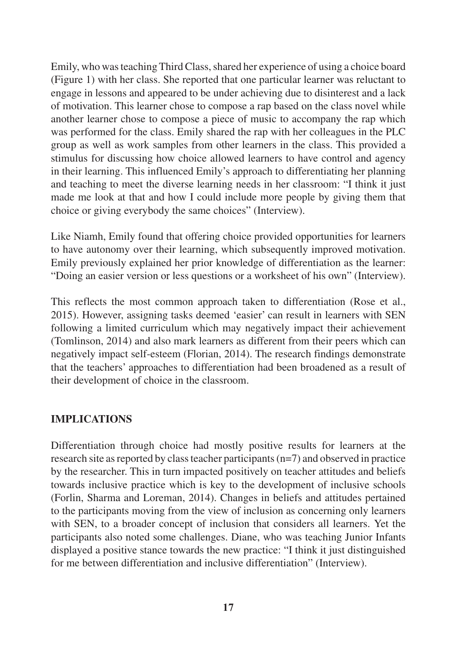Emily, who was teaching Third Class, shared her experience of using a choice board (Figure 1) with her class. She reported that one particular learner was reluctant to engage in lessons and appeared to be under achieving due to disinterest and a lack of motivation. This learner chose to compose a rap based on the class novel while another learner chose to compose a piece of music to accompany the rap which was performed for the class. Emily shared the rap with her colleagues in the PLC group as well as work samples from other learners in the class. This provided a stimulus for discussing how choice allowed learners to have control and agency in their learning. This influenced Emily's approach to differentiating her planning and teaching to meet the diverse learning needs in her classroom: "I think it just made me look at that and how I could include more people by giving them that choice or giving everybody the same choices" (Interview).

Like Niamh, Emily found that offering choice provided opportunities for learners to have autonomy over their learning, which subsequently improved motivation. Emily previously explained her prior knowledge of differentiation as the learner: "Doing an easier version or less questions or a worksheet of his own" (Interview).

This reflects the most common approach taken to differentiation (Rose et al., 2015). However, assigning tasks deemed 'easier' can result in learners with SEN following a limited curriculum which may negatively impact their achievement (Tomlinson, 2014) and also mark learners as different from their peers which can negatively impact self-esteem (Florian, 2014). The research findings demonstrate that the teachers' approaches to differentiation had been broadened as a result of their development of choice in the classroom.

## **IMPLICATIONS**

Differentiation through choice had mostly positive results for learners at the research site as reported by class teacher participants (n=7) and observed in practice by the researcher. This in turn impacted positively on teacher attitudes and beliefs towards inclusive practice which is key to the development of inclusive schools (Forlin, Sharma and Loreman, 2014). Changes in beliefs and attitudes pertained to the participants moving from the view of inclusion as concerning only learners with SEN, to a broader concept of inclusion that considers all learners. Yet the participants also noted some challenges. Diane, who was teaching Junior Infants displayed a positive stance towards the new practice: "I think it just distinguished for me between differentiation and inclusive differentiation" (Interview).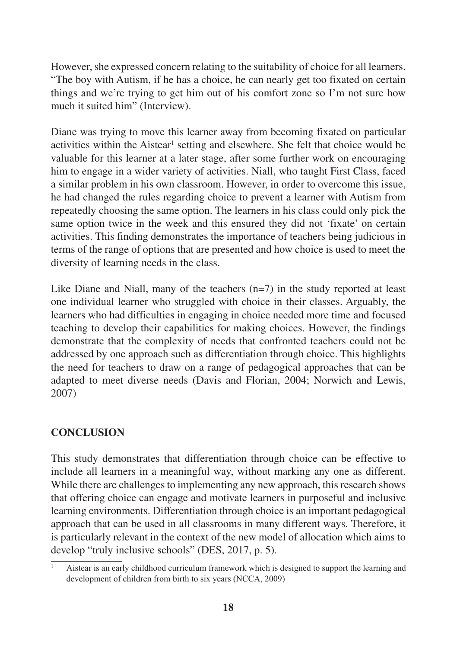However, she expressed concern relating to the suitability of choice for all learners. "The boy with Autism, if he has a choice, he can nearly get too fixated on certain things and we're trying to get him out of his comfort zone so I'm not sure how much it suited him" (Interview).

Diane was trying to move this learner away from becoming fixated on particular activities within the Aistear<sup>1</sup> setting and elsewhere. She felt that choice would be valuable for this learner at a later stage, after some further work on encouraging him to engage in a wider variety of activities. Niall, who taught First Class, faced a similar problem in his own classroom. However, in order to overcome this issue, he had changed the rules regarding choice to prevent a learner with Autism from repeatedly choosing the same option. The learners in his class could only pick the same option twice in the week and this ensured they did not 'fixate' on certain activities. This finding demonstrates the importance of teachers being judicious in terms of the range of options that are presented and how choice is used to meet the diversity of learning needs in the class.

Like Diane and Niall, many of the teachers  $(n=7)$  in the study reported at least one individual learner who struggled with choice in their classes. Arguably, the learners who had difficulties in engaging in choice needed more time and focused teaching to develop their capabilities for making choices. However, the findings demonstrate that the complexity of needs that confronted teachers could not be addressed by one approach such as differentiation through choice. This highlights the need for teachers to draw on a range of pedagogical approaches that can be adapted to meet diverse needs (Davis and Florian, 2004; Norwich and Lewis, 2007)

# **CONCLUSION**

This study demonstrates that differentiation through choice can be effective to include all learners in a meaningful way, without marking any one as different. While there are challenges to implementing any new approach, this research shows that offering choice can engage and motivate learners in purposeful and inclusive learning environments. Differentiation through choice is an important pedagogical approach that can be used in all classrooms in many different ways. Therefore, it is particularly relevant in the context of the new model of allocation which aims to develop "truly inclusive schools" (DES, 2017, p. 5).

<sup>1</sup> Aistear is an early childhood curriculum framework which is designed to support the learning and development of children from birth to six years (NCCA, 2009)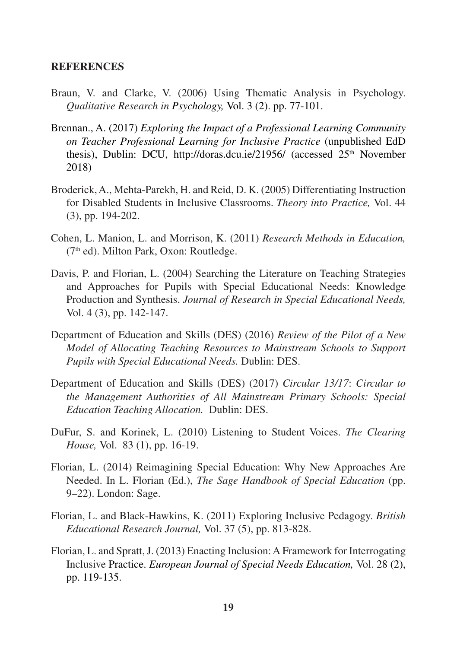#### **REFERENCES**

- Braun, V. and Clarke, V. (2006) Using Thematic Analysis in Psychology. *Qualitative Research in Psychology,* Vol. 3 (2). pp. 77-101.
- Brennan., A. (2017) *Exploring the Impact of a Professional Learning Community on Teacher Professional Learning for Inclusive Practice* (unpublished EdD thesis), Dublin: DCU, http://doras.dcu.ie/21956/ (accessed 25<sup>th</sup> November 2018)
- Broderick, A., Mehta-Parekh, H. and Reid, D. K. (2005) Differentiating Instruction for Disabled Students in Inclusive Classrooms. *Theory into Practice,* Vol. 44 (3), pp. 194-202.
- Cohen, L. Manion, L. and Morrison, K. (2011) *Research Methods in Education,*   $(7<sup>th</sup>$  ed). Milton Park, Oxon: Routledge.
- Davis, P. and Florian, L. (2004) Searching the Literature on Teaching Strategies and Approaches for Pupils with Special Educational Needs: Knowledge Production and Synthesis. *Journal of Research in Special Educational Needs,*  Vol. 4 (3), pp. 142-147.
- Department of Education and Skills (DES) (2016) *Review of the Pilot of a New Model of Allocating Teaching Resources to Mainstream Schools to Support Pupils with Special Educational Needs.* Dublin: DES.
- Department of Education and Skills (DES) (2017) *Circular 13/17*: *Circular to the Management Authorities of All Mainstream Primary Schools: Special Education Teaching Allocation.* Dublin: DES.
- DuFur, S. and Korinek, L. (2010) Listening to Student Voices. *The Clearing House,* Vol. 83 (1), pp. 16-19.
- Florian, L. (2014) Reimagining Special Education: Why New Approaches Are Needed. In L. Florian (Ed.), *The Sage Handbook of Special Education* (pp. 9–22). London: Sage.
- Florian, L. and Black-Hawkins, K. (2011) Exploring Inclusive Pedagogy. *British Educational Research Journal,* Vol. 37 (5), pp. 813-828.
- Florian, L. and Spratt, J. (2013) Enacting Inclusion: A Framework for Interrogating Inclusive Practice. *European Journal of Special Needs Education,* Vol. 28 (2), pp. 119-135.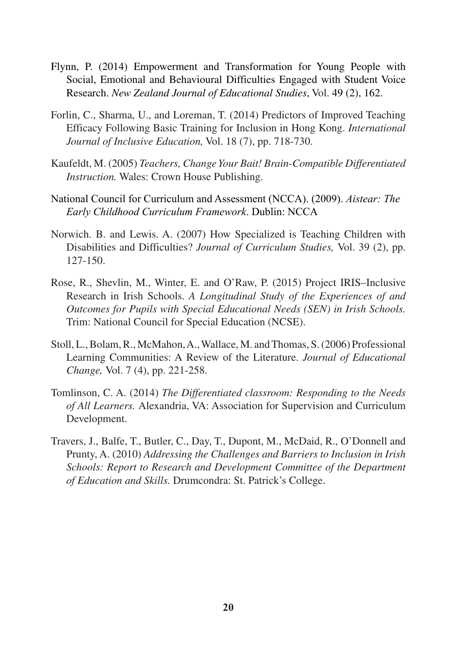- Flynn, P. (2014) Empowerment and Transformation for Young People with Social, Emotional and Behavioural Difficulties Engaged with Student Voice Research. *New Zealand Journal of Educational Studies*, Vol. 49 (2), 162.
- Forlin, C., Sharma, U., and Loreman, T. (2014) Predictors of Improved Teaching Efficacy Following Basic Training for Inclusion in Hong Kong. *International Journal of Inclusive Education,* Vol. 18 (7), pp. 718-730.
- Kaufeldt, M. (2005) *Teachers, Change Your Bait! Brain-Compatible Differentiated Instruction.* Wales: Crown House Publishing.
- National Council for Curriculum and Assessment (NCCA). (2009). *Aistear: The Early Childhood Curriculum Framework*. Dublin: NCCA
- Norwich. B. and Lewis. A. (2007) How Specialized is Teaching Children with Disabilities and Difficulties? *Journal of Curriculum Studies,* Vol. 39 (2), pp. 127-150.
- Rose, R., Shevlin, M., Winter, E. and O'Raw, P. (2015) Project IRIS–Inclusive Research in Irish Schools. *A Longitudinal Study of the Experiences of and Outcomes for Pupils with Special Educational Needs (SEN) in Irish Schools.*  Trim: National Council for Special Education (NCSE).
- Stoll, L., Bolam, R., McMahon, A., Wallace, M. and Thomas, S. (2006) Professional Learning Communities: A Review of the Literature. *Journal of Educational Change,* Vol. 7 (4), pp. 221-258.
- Tomlinson, C. A. (2014) *The Differentiated classroom: Responding to the Needs of All Learners.* Alexandria, VA: Association for Supervision and Curriculum Development.
- Travers, J., Balfe, T., Butler, C., Day, T., Dupont, M., McDaid, R., O'Donnell and Prunty, A. (2010) *Addressing the Challenges and Barriers to Inclusion in Irish Schools: Report to Research and Development Committee of the Department of Education and Skills.* Drumcondra: St. Patrick's College.